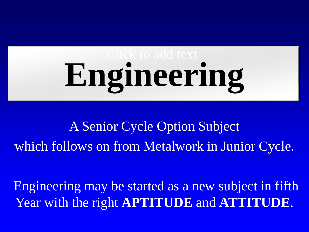# **Engineering**

A Senior Cycle Option Subject which follows on from Metalwork in Junior Cycle.

Engineering may be started as a new subject in fifth Year with the right **APTITUDE** and **ATTITUDE**.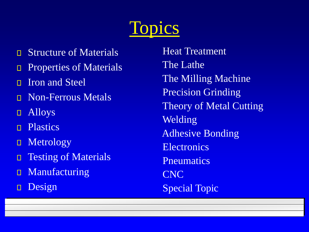

- Structure of Materials  $\Box$
- Properties of Materials  $\Box$
- Iron and Steel  $\Box$
- Non-Ferrous Metals  $\Box$
- Alloys  $\Box$
- **Plastics**  $\Box$
- Metrology  $\Box$
- Testing of Materials  $\Box$
- Manufacturing  $\Box$
- Design  $\Box$

Heat Treatment The Lathe The Milling Machine Precision Grinding Theory of Metal Cutting Welding Adhesive Bonding **Electronics Pneumatics** CNC Special Topic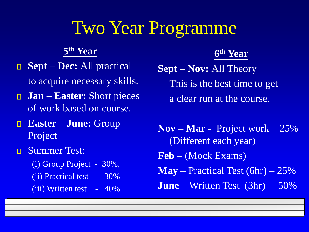## Two Year Programme

**5 th Year**

- **Sept – Dec:** All practical to acquire necessary skills.
- **Jan – Easter:** Short pieces of work based on course.
- **Easter – June:** Group  $\Box$ Project
- Summer Test:  $\mathbf{\Pi}$ 
	- (i) Group Project 30%, (ii) Practical test - 30% (iii) Written test - 40%

#### **6 th Year**

**Sept – Nov:** All Theory This is the best time to get a clear run at the course.

**Nov – Mar** - Project work – 25% (Different each year) **Feb** – (Mock Exams) **May** – Practical Test (6hr) – 25% **June** – Written Test (3hr) – 50%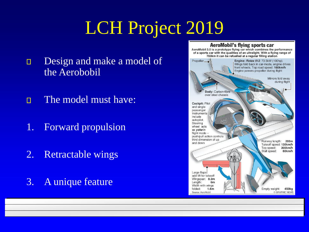# LCH Project 2019

- Design and make a model of  $\Box$ the Aerobobil
- The model must have:  $\Box$
- 1. Forward propulsion
- 2. Retractable wings
- 3. A unique feature

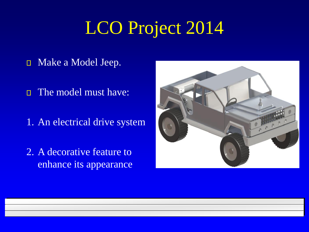# LCO Project 2014

- Make a Model Jeep.  $\Box$
- The model must have:  $\Box$
- 1. An electrical drive system
- 2. A decorative feature to enhance its appearance

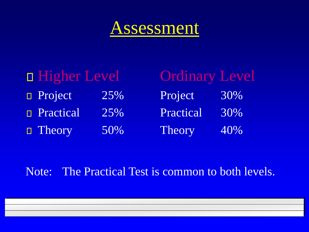## Assessment

Level

30%

30%

40%

| <b>D</b> Higher Level |     | Ordinary  |
|-----------------------|-----|-----------|
| <b>D</b> Project      | 25% | Project   |
| <b>Practical</b>      | 25% | Practical |
| $\Box$ Theory         | 50% | Theory    |

Note: The Practical Test is common to both levels.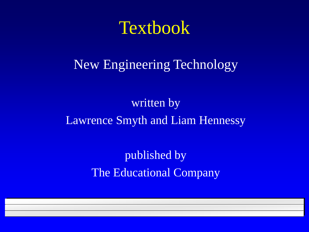### **Textbook**

#### New Engineering Technology

#### written by Lawrence Smyth and Liam Hennessy

published by The Educational Company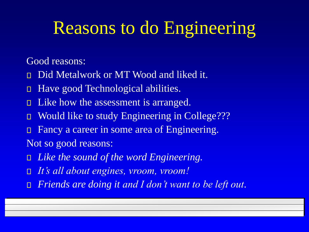# Reasons to do Engineering

Good reasons:

- Did Metalwork or MT Wood and liked it.  $\Box$
- Have good Technological abilities.  $\Box$
- Like how the assessment is arranged.  $\Box$
- Would like to study Engineering in College???  $\Box$
- Fancy a career in some area of Engineering.  $\Box$
- Not so good reasons:
- *Like the sound of the word Engineering.*
- *It's all about engines, vroom, vroom!*  $\Box$
- *Friends are doing it and I don't want to be left out.* $\Box$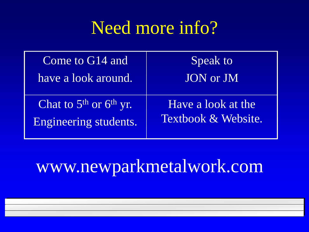# Need more info?

| Come to G14 and                                     | Speak to                                  |
|-----------------------------------------------------|-------------------------------------------|
| have a look around.                                 | JON or JM                                 |
| Chat to $5th$ or $6th$ yr.<br>Engineering students. | Have a look at the<br>Textbook & Website. |

# www.newparkmetalwork.com